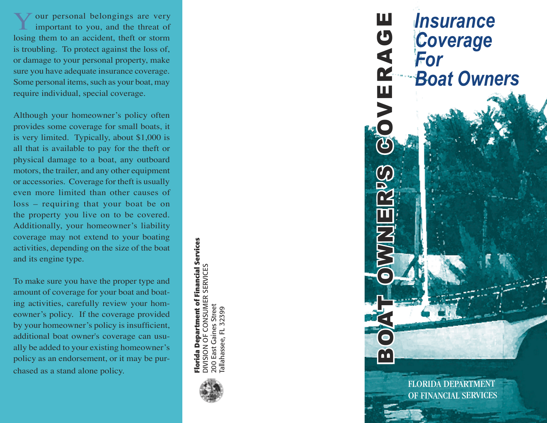Your personal belongings are very important to you, and the threat of losing them to an accident, theft or storm is troubling. To protect against the loss of, or damage to your personal property, make sure you have adequate insurance coverage. Some personal items, such as your boat, may require individual, special coverage.

Although your homeowner's policy often provides some coverage for small boats, it is very limited. Typically, about \$1,000 is all that is available to pay for the theft or physical damage to a boat, any outboard motors, the trailer, and any other equipment or accessories. Coverage for theft is usually even more limited than other causes of loss – requiring that your boat be on the property you live on to be covered. Additionally, your homeowner's liability coverage may not extend to your boating activities, depending on the size of the boat and its engine type.

To make sure you have the proper type and amount of coverage for your boat and boat ing activities, carefully review your hom eowner's policy. If the coverage provided by your homeowner's policy is insufficient, additional boat owner's coverage can usu ally be added to your existing homeowner's policy as an endorsement, or it may be pur chased as a stand alone policy.

Florida Department of Financial Services<br>DIVISION OF CONSUMER SERVICES **Florida Department of Financial Services** DIVISION OF CONSUMER SERVICES 200 East Gaines Street 200 East Gaines Street Tallahassee, FL 32399 allahassee, FL 32399



*Insurance Coverage For Boat Owners*

BOAT OWNER'S GOVERAGE

 $\alpha$ 

ш

OVERAG

FLORIDA DEPARTMENT OF FINANCIAL SERVICES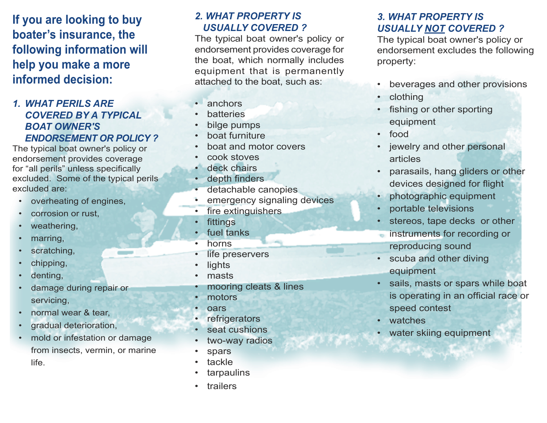**If you are looking to buy boater's insurance, the following information will help you make a more informed decision:**

#### *1. WHAT PERILS ARE COVERED BY A TYPICAL BOAT OWNER'S ENDORSEMENT OR POLICY ?*

The typical boat owner's policy or endorsement provides coverage for "all perils" unless specifically excluded. Some of the typical perils excluded are:

- overheating of engines,
- corrosion or rust,
- weathering,
- marring,
- scratching,
- chipping,
- denting,
- damage during repair or servicing,
- normal wear & tear,
- gradual deterioration,
- mold or infestation or damage from insects, vermin, or marine life.

#### *2. WHAT PROPERTY IS USUALLY COVERED ?*

The typical boat owner's policy or endorsement provides coverage for the boat, which normally includes equipment that is permanently attached to the boat, such as:

- anchors
- **batteries**
- bilge pumps
- boat furniture
- boat and motor covers
- cook stoves
- deck chairs
- depth finders
- detachable canopies
- emergency signaling devices
- fire extinguishers
- **fittings**
- fuel tanks
- horns
- life preservers
- **lights**
- masts
- mooring cleats & lines
- motors
- **pars**
- **refrigerators**
- seat cushions
- two-way radios
- **spars**
- tackle
- **tarpaulins**
- **trailers**

#### *3. WHAT PROPERTY IS USUALLY NOT COVERED ?*

The typical boat owner's policy or endorsement excludes the following property:

- beverages and other provisions
- clothing
- fishing or other sporting equipment
- food
- jewelry and other personal articles
- parasails, hang gliders or other devices designed for flight
- photographic equipment
- portable televisions
- stereos, tape decks or other
- instruments for recording or reproducing sound
- scuba and other diving equipment
- sails, masts or spars while boat is operating in an official race or speed contest
- watches
- water skiing equipment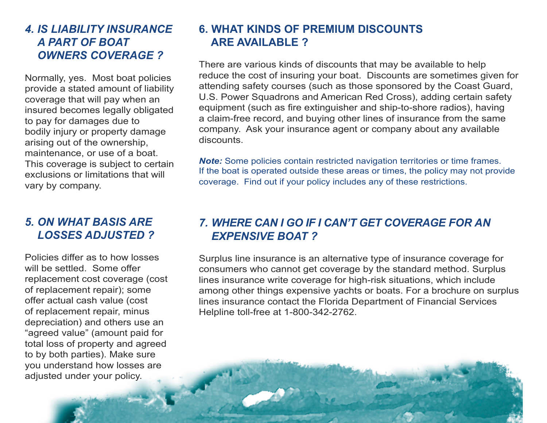### *4. IS LIABILITY INSURANCE A PART OF BOAT OWNERS COVERAGE ?*

Normally, yes. Most boat policies provide a stated amount of liability coverage that will pay when an insured becomes legally obligated to pay for damages due to bodily injury or property damage arising out of the ownership, maintenance, or use of a boat. This coverage is subject to certain exclusions or limitations that will vary by company.

### *5. ON WHAT BASIS ARE LOSSES ADJUSTED ?*

Policies differ as to how losses will be settled. Some offer replacement cost coverage (cost of replacement repair); some offer actual cash value (cost of replacement repair, minus depreciation) and others use an "agreed value" (amount paid for total loss of property and agreed to by both parties). Make sure you understand how losses are adjusted under your policy.

# **6. WHAT KINDS OF PREMIUM DISCOUNTS ARE AVAILABLE ?**

There are various kinds of discounts that may be available to help reduce the cost of insuring your boat. Discounts are sometimes given for attending safety courses (such as those sponsored by the Coast Guard, U.S. Power Squadrons and American Red Cross), adding certain safety equipment (such as fire extinguisher and ship-to-shore radios), having a claim-free record, and buying other lines of insurance from the same company. Ask your insurance agent or company about any available discounts.

*Note:* Some policies contain restricted navigation territories or time frames. If the boat is operated outside these areas or times, the policy may not provide coverage. Find out if your policy includes any of these restrictions.

### *7. WHERE CAN I GO IF I CAN'T GET COVERAGE FOR AN EXPENSIVE BOAT ?*

Surplus line insurance is an alternative type of insurance coverage for consumers who cannot get coverage by the standard method. Surplus lines insurance write coverage for high-risk situations, which include among other things expensive yachts or boats. For a brochure on surplus lines insurance contact the Florida Department of Financial Services Helpline toll-free at 1-800-342-2762.